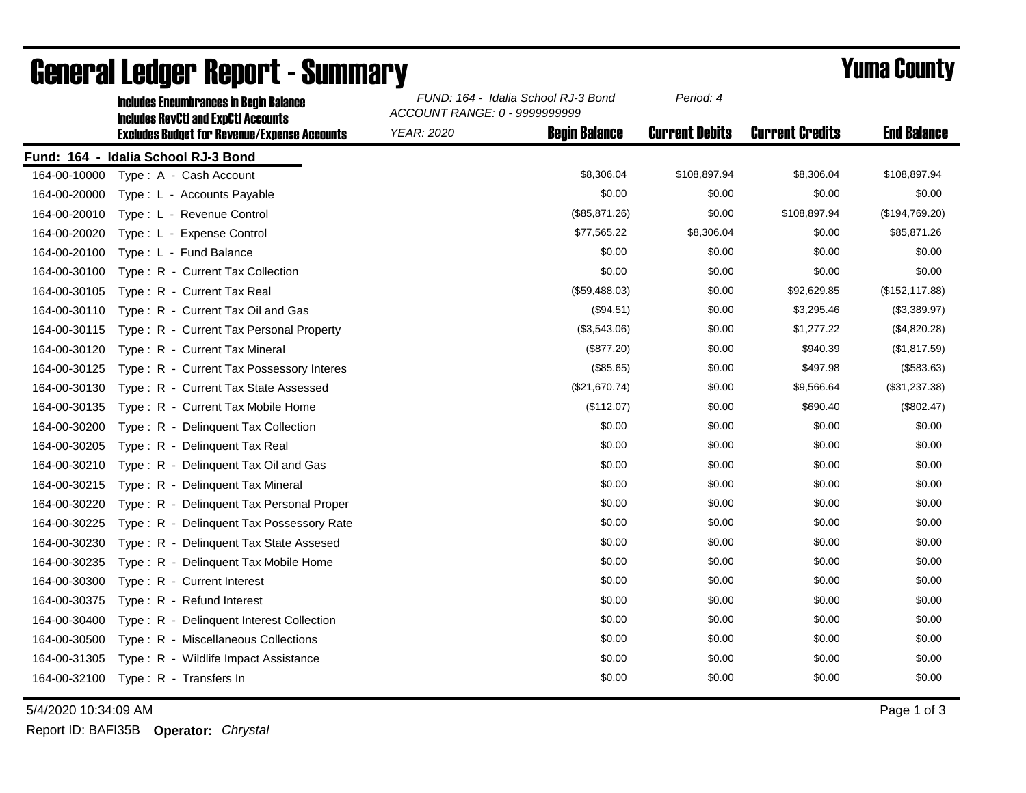|              | <b>Includes Encumbrances in Begin Balance</b><br><b>Includes RevCtI and ExpCtI Accounts</b> | FUND: 164 - Idalia School RJ-3 Bond<br>ACCOUNT RANGE: 0 - 9999999999 |                      | Period: 4             |                        |                    |
|--------------|---------------------------------------------------------------------------------------------|----------------------------------------------------------------------|----------------------|-----------------------|------------------------|--------------------|
|              | <b>Excludes Budget for Revenue/Expense Accounts</b>                                         | <b>YEAR: 2020</b>                                                    | <b>Begin Balance</b> | <b>Current Debits</b> | <b>Current Credits</b> | <b>End Balance</b> |
|              | Fund: 164 - Idalia School RJ-3 Bond                                                         |                                                                      |                      |                       |                        |                    |
| 164-00-10000 | Type: A - Cash Account                                                                      |                                                                      | \$8,306.04           | \$108,897.94          | \$8,306.04             | \$108,897.94       |
| 164-00-20000 | Type: L - Accounts Payable                                                                  |                                                                      | \$0.00               | \$0.00                | \$0.00                 | \$0.00             |
| 164-00-20010 | Type: L - Revenue Control                                                                   |                                                                      | (\$85,871.26)        | \$0.00                | \$108,897.94           | (\$194,769.20)     |
| 164-00-20020 | Type: L - Expense Control                                                                   |                                                                      | \$77,565.22          | \$8,306.04            | \$0.00                 | \$85,871.26        |
| 164-00-20100 | Type: L - Fund Balance                                                                      |                                                                      | \$0.00               | \$0.00                | \$0.00                 | \$0.00             |
| 164-00-30100 | Type: R - Current Tax Collection                                                            |                                                                      | \$0.00               | \$0.00                | \$0.00                 | \$0.00             |
| 164-00-30105 | Type: R - Current Tax Real                                                                  |                                                                      | (\$59,488.03)        | \$0.00                | \$92,629.85            | (\$152, 117.88)    |
| 164-00-30110 | Type: R - Current Tax Oil and Gas                                                           |                                                                      | (\$94.51)            | \$0.00                | \$3,295.46             | (\$3,389.97)       |
| 164-00-30115 | Type: R - Current Tax Personal Property                                                     |                                                                      | (\$3,543.06)         | \$0.00                | \$1,277.22             | (\$4,820.28)       |
| 164-00-30120 | Type: R - Current Tax Mineral                                                               |                                                                      | (\$877.20)           | \$0.00                | \$940.39               | (\$1,817.59)       |
| 164-00-30125 | Type: R - Current Tax Possessory Interes                                                    |                                                                      | (\$85.65)            | \$0.00                | \$497.98               | (\$583.63)         |
| 164-00-30130 | Type: R - Current Tax State Assessed                                                        |                                                                      | (\$21,670.74)        | \$0.00                | \$9,566.64             | (\$31,237.38)      |
| 164-00-30135 | Type: R - Current Tax Mobile Home                                                           |                                                                      | (\$112.07)           | \$0.00                | \$690.40               | (\$802.47)         |
| 164-00-30200 | Type: R - Delinquent Tax Collection                                                         |                                                                      | \$0.00               | \$0.00                | \$0.00                 | \$0.00             |
| 164-00-30205 | Type: R - Delinquent Tax Real                                                               |                                                                      | \$0.00               | \$0.00                | \$0.00                 | \$0.00             |
| 164-00-30210 | Type: R - Delinquent Tax Oil and Gas                                                        |                                                                      | \$0.00               | \$0.00                | \$0.00                 | \$0.00             |
| 164-00-30215 | Type: R - Delinquent Tax Mineral                                                            |                                                                      | \$0.00               | \$0.00                | \$0.00                 | \$0.00             |
| 164-00-30220 | Type: R - Delinguent Tax Personal Proper                                                    |                                                                      | \$0.00               | \$0.00                | \$0.00                 | \$0.00             |
| 164-00-30225 | Type: R - Delinquent Tax Possessory Rate                                                    |                                                                      | \$0.00               | \$0.00                | \$0.00                 | \$0.00             |
| 164-00-30230 | Type: R - Delinguent Tax State Assesed                                                      |                                                                      | \$0.00               | \$0.00                | \$0.00                 | \$0.00             |
| 164-00-30235 | Type: R - Delinquent Tax Mobile Home                                                        |                                                                      | \$0.00               | \$0.00                | \$0.00                 | \$0.00             |
| 164-00-30300 | Type: R - Current Interest                                                                  |                                                                      | \$0.00               | \$0.00                | \$0.00                 | \$0.00             |
| 164-00-30375 | Type: R - Refund Interest                                                                   |                                                                      | \$0.00               | \$0.00                | \$0.00                 | \$0.00             |
| 164-00-30400 | Type: R - Delinquent Interest Collection                                                    |                                                                      | \$0.00               | \$0.00                | \$0.00                 | \$0.00             |
| 164-00-30500 | Type: R - Miscellaneous Collections                                                         |                                                                      | \$0.00               | \$0.00                | \$0.00                 | \$0.00             |
| 164-00-31305 | Type: R - Wildlife Impact Assistance                                                        |                                                                      | \$0.00               | \$0.00                | \$0.00                 | \$0.00             |
| 164-00-32100 | Type: R - Transfers In                                                                      |                                                                      | \$0.00               | \$0.00                | \$0.00                 | \$0.00             |

## General Ledger Report - Summary **Example 2018** Yuma County

5/4/2020 10:34:09 AM Page 1 of 3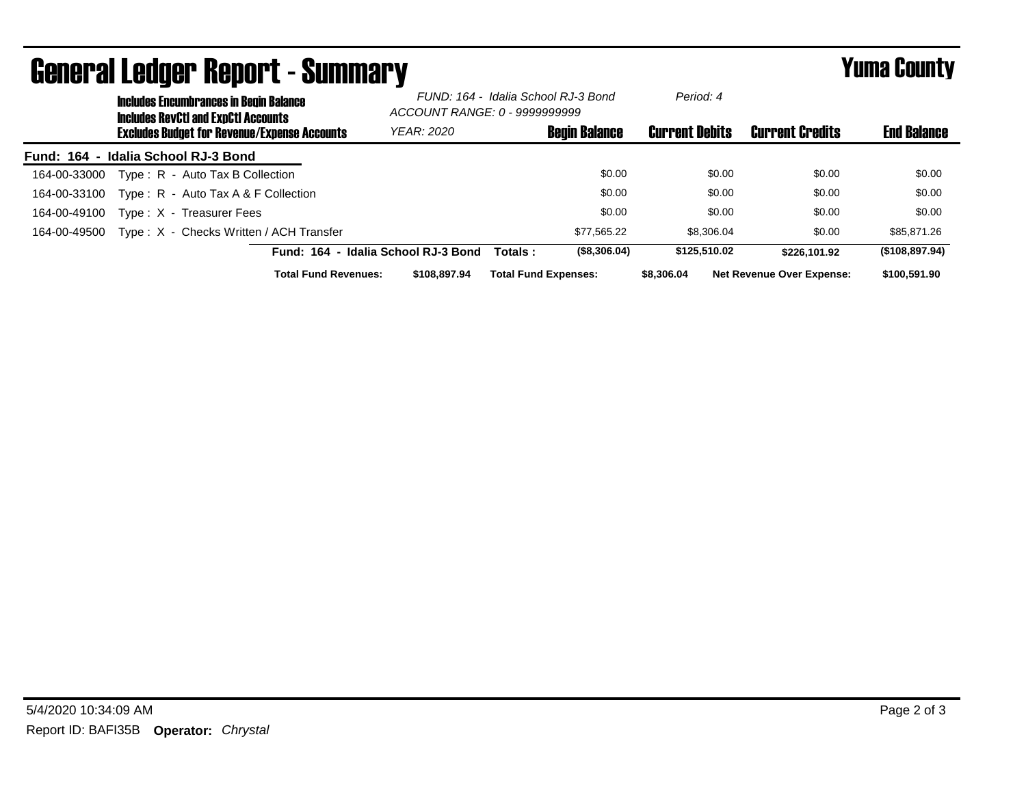| <b>General Ledger Report - Summary</b> |                                                                                             |                                                     |                                                                      |                             | <b>Yuma County</b>   |                       |                                  |                    |
|----------------------------------------|---------------------------------------------------------------------------------------------|-----------------------------------------------------|----------------------------------------------------------------------|-----------------------------|----------------------|-----------------------|----------------------------------|--------------------|
|                                        | <b>Includes Encumbrances in Begin Balance</b><br><b>Includes RevCtI and ExpCtI Accounts</b> |                                                     | FUND: 164 - Idalia School RJ-3 Bond<br>ACCOUNT RANGE: 0 - 9999999999 |                             | Period: 4            |                       |                                  |                    |
|                                        |                                                                                             | <b>Excludes Budget for Revenue/Expense Accounts</b> | <b>YEAR: 2020</b>                                                    |                             | <b>Begin Balance</b> | <b>Current Debits</b> | <b>Current Credits</b>           | <b>End Balance</b> |
|                                        | Fund: 164 - Idalia School RJ-3 Bond                                                         |                                                     |                                                                      |                             |                      |                       |                                  |                    |
| 164-00-33000                           | Type: R - Auto Tax B Collection                                                             |                                                     |                                                                      |                             | \$0.00               | \$0.00                | \$0.00                           | \$0.00             |
| 164-00-33100                           |                                                                                             | Type: $R -$ Auto Tax A & F Collection               |                                                                      |                             | \$0.00               | \$0.00                | \$0.00                           | \$0.00             |
| 164-00-49100                           | Type: X - Treasurer Fees                                                                    |                                                     |                                                                      |                             | \$0.00               | \$0.00                | \$0.00                           | \$0.00             |
| 164-00-49500                           |                                                                                             | Type: X - Checks Written / ACH Transfer             |                                                                      |                             | \$77,565.22          | \$8,306.04            | \$0.00                           | \$85,871.26        |
|                                        |                                                                                             |                                                     | Fund: 164 - Idalia School RJ-3 Bond                                  | Totals :                    | (\$8,306.04)         | \$125,510.02          | \$226.101.92                     | (\$108,897.94)     |
|                                        |                                                                                             | <b>Total Fund Revenues:</b>                         | \$108,897.94                                                         | <b>Total Fund Expenses:</b> |                      | \$8,306.04            | <b>Net Revenue Over Expense:</b> | \$100,591.90       |